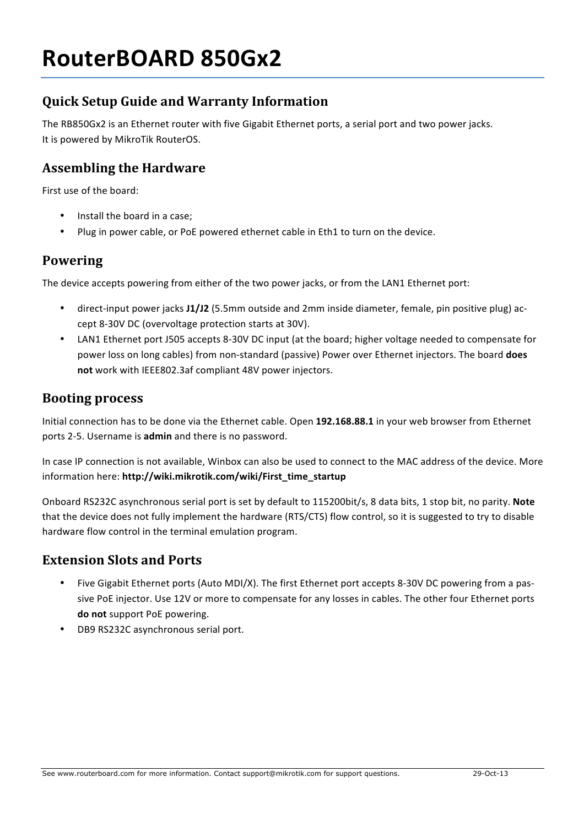# **Quick Setup Guide and Warranty Information**

The RB850Gx2 is an Ethernet router with five Gigabit Ethernet ports, a serial port and two power jacks. It is powered by MikroTik RouterOS.

#### **Assembling the Hardware**

First use of the board:

- Install the board in a case;
- Plug in power cable, or PoE powered ethernet cable in Eth1 to turn on the device.

#### **Powering**

The device accepts powering from either of the two power jacks, or from the LAN1 Ethernet port:

- direct-input power jacks **J1/J2** (5.5mm outside and 2mm inside diameter, female, pin positive plug) accept 8-30V DC (overvoltage protection starts at 30V).
- LAN1 Ethernet port J505 accepts 8-30V DC input (at the board; higher voltage needed to compensate for power loss on long cables) from non-standard (passive) Power over Ethernet injectors. The board **does** not work with IEEE802.3af compliant 48V power injectors.

#### **Booting process**

Initial connection has to be done via the Ethernet cable. Open 192.168.88.1 in your web browser from Ethernet ports 2-5. Username is **admin** and there is no password.

In case IP connection is not available, Winbox can also be used to connect to the MAC address of the device. More information here: **http://wiki.mikrotik.com/wiki/First\_time\_startup**

Onboard RS232C asynchronous serial port is set by default to 115200bit/s, 8 data bits, 1 stop bit, no parity. Note that the device does not fully implement the hardware (RTS/CTS) flow control, so it is suggested to try to disable hardware flow control in the terminal emulation program.

#### **Extension Slots and Ports**

- Five Gigabit Ethernet ports (Auto MDI/X). The first Ethernet port accepts 8-30V DC powering from a passive PoE injector. Use 12V or more to compensate for any losses in cables. The other four Ethernet ports do not support PoE powering.
- DB9 RS232C asynchronous serial port.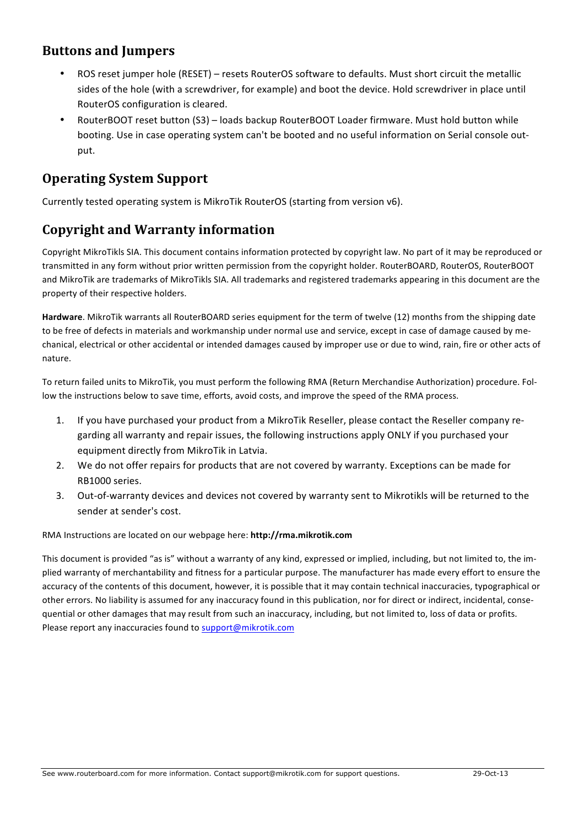### **Buttons and Jumpers**

- ROS reset iumper hole (RESET) resets RouterOS software to defaults. Must short circuit the metallic sides of the hole (with a screwdriver, for example) and boot the device. Hold screwdriver in place until RouterOS configuration is cleared.
- RouterBOOT reset button (S3) loads backup RouterBOOT Loader firmware. Must hold button while booting. Use in case operating system can't be booted and no useful information on Serial console output.

### **Operating System Support**

Currently tested operating system is MikroTik RouterOS (starting from version v6).

## **Copyright and Warranty information**

Copyright MikroTikls SIA. This document contains information protected by copyright law. No part of it may be reproduced or transmitted in any form without prior written permission from the copyright holder. RouterBOARD, RouterOS, RouterBOOT and MikroTik are trademarks of MikroTikls SIA. All trademarks and registered trademarks appearing in this document are the property of their respective holders.

Hardware. MikroTik warrants all RouterBOARD series equipment for the term of twelve (12) months from the shipping date to be free of defects in materials and workmanship under normal use and service, except in case of damage caused by mechanical, electrical or other accidental or intended damages caused by improper use or due to wind, rain, fire or other acts of nature.

To return failed units to MikroTik, you must perform the following RMA (Return Merchandise Authorization) procedure. Follow the instructions below to save time, efforts, avoid costs, and improve the speed of the RMA process.

- 1. If you have purchased your product from a MikroTik Reseller, please contact the Reseller company regarding all warranty and repair issues, the following instructions apply ONLY if you purchased your equipment directly from MikroTik in Latvia.
- 2. We do not offer repairs for products that are not covered by warranty. Exceptions can be made for RB1000 series.
- 3. Out-of-warranty devices and devices not covered by warranty sent to Mikrotikls will be returned to the sender at sender's cost.

RMA Instructions are located on our webpage here: http://rma.mikrotik.com

This document is provided "as is" without a warranty of any kind, expressed or implied, including, but not limited to, the implied warranty of merchantability and fitness for a particular purpose. The manufacturer has made every effort to ensure the accuracy of the contents of this document, however, it is possible that it may contain technical inaccuracies, typographical or other errors. No liability is assumed for any inaccuracy found in this publication, nor for direct or indirect, incidental, consequential or other damages that may result from such an inaccuracy, including, but not limited to, loss of data or profits. Please report any inaccuracies found to support@mikrotik.com